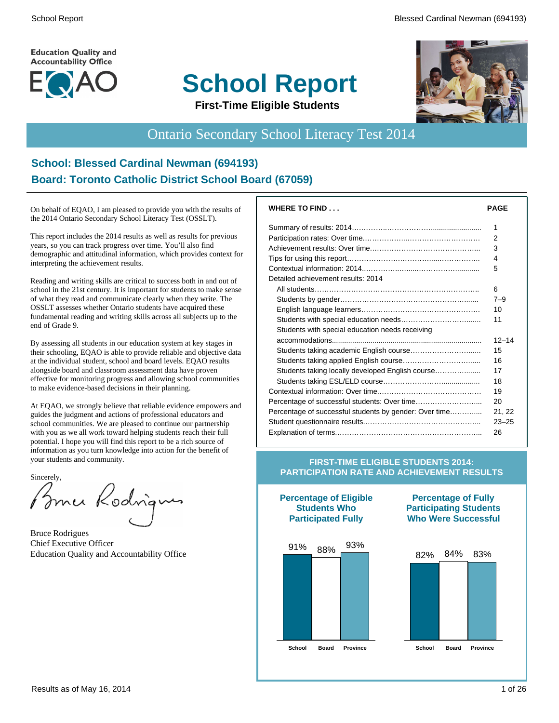**Education Quality and Accountability Office** 



# **School Report**



**First-Time Eligible Students**

#### Ontario Secondary School Literacy Test 2014

#### **School: Blessed Cardinal Newman (694193) Board: Toronto Catholic District School Board (67059)**

On behalf of EQAO, I am pleased to provide you with the results of the 2014 Ontario Secondary School Literacy Test (OSSLT).

This report includes the 2014 results as well as results for previous years, so you can track progress over time. You'll also find demographic and attitudinal information, which provides context for interpreting the achievement results.

Reading and writing skills are critical to success both in and out of school in the 21st century. It is important for students to make sense of what they read and communicate clearly when they write. The OSSLT assesses whether Ontario students have acquired these fundamental reading and writing skills across all subjects up to the end of Grade 9.

By assessing all students in our education system at key stages in their schooling, EQAO is able to provide reliable and objective data at the individual student, school and board levels. EQAO results alongside board and classroom assessment data have proven effective for monitoring progress and allowing school communities to make evidence-based decisions in their planning.

At EQAO, we strongly believe that reliable evidence empowers and guides the judgment and actions of professional educators and school communities. We are pleased to continue our partnership with you as we all work toward helping students reach their full potential. I hope you will find this report to be a rich source of information as you turn knowledge into action for the benefit of your students and community.

Sincerely,

Bomer Rodrigues

Bruce Rodrigues Chief Executive Officer Education Quality and Accountability Office

| <b>WHERE TO FIND</b>                                   | <b>PAGE</b> |
|--------------------------------------------------------|-------------|
|                                                        | 1           |
|                                                        | 2           |
|                                                        | 3           |
|                                                        | 4           |
|                                                        | 5           |
| Detailed achievement results: 2014                     |             |
|                                                        | 6           |
|                                                        | $7 - 9$     |
|                                                        | 10          |
|                                                        | 11          |
| Students with special education needs receiving        |             |
|                                                        | $12 - 14$   |
| Students taking academic English course                | 15          |
|                                                        | 16          |
| Students taking locally developed English course       | 17          |
|                                                        | 18          |
|                                                        | 19          |
|                                                        | 20          |
| Percentage of successful students by gender: Over time | 21, 22      |
|                                                        | $23 - 25$   |
|                                                        | 26          |

#### **FIRST-TIME ELIGIBLE STUDENTS 2014: PARTICIPATION RATE AND ACHIEVEMENT RESULTS**







82% 84% 83%

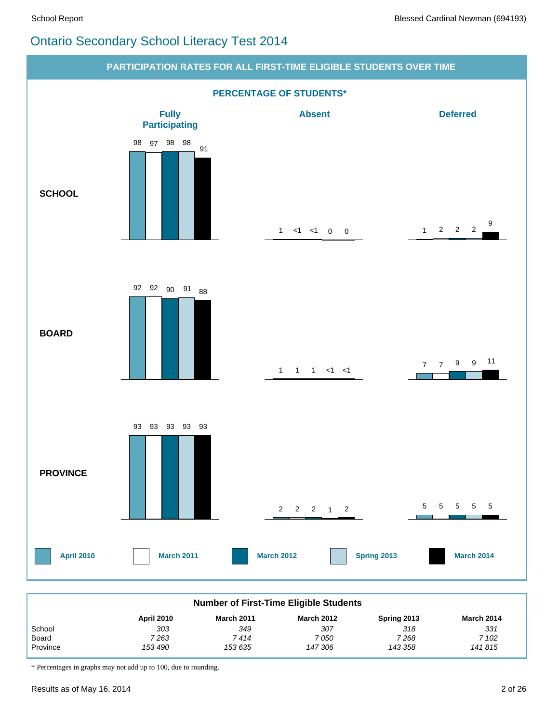#### Ontario Secondary School Literacy Test 2014



| <b>Number of First-Time Eligible Students</b>                                            |         |         |         |         |        |  |  |  |  |  |
|------------------------------------------------------------------------------------------|---------|---------|---------|---------|--------|--|--|--|--|--|
| <b>March 2011</b><br><b>March 2012</b><br><b>April 2010</b><br>March 2014<br>Spring 2013 |         |         |         |         |        |  |  |  |  |  |
| School                                                                                   | 303     | 349     | 307     | 318     | 331    |  |  |  |  |  |
| Board                                                                                    | 7 263   | 7 414   | 7 050   | 7 268   | 7 102  |  |  |  |  |  |
| Province                                                                                 | 153 490 | 153 635 | 147 306 | 143 358 | 141815 |  |  |  |  |  |

\* Percentages in graphs may not add up to 100, due to rounding.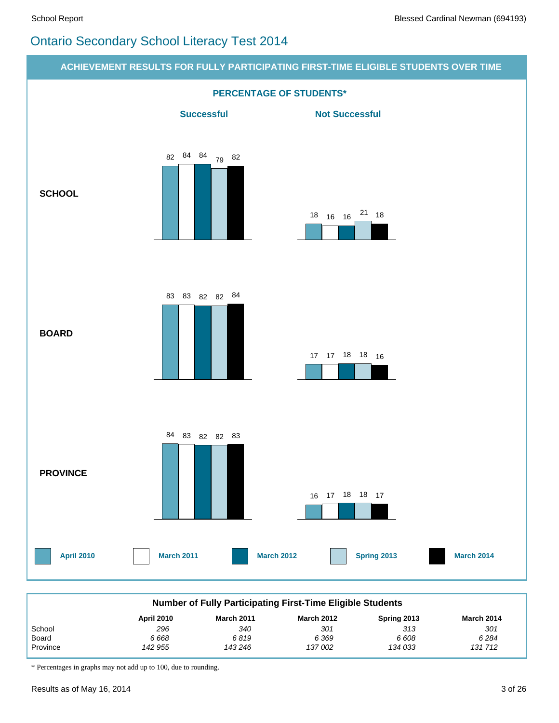# Ontario Secondary School Literacy Test 2014



\* Percentages in graphs may not add up to 100, due to rounding.

 *142 955*

 *143 246*

 *137 002*

 *134 033*

Province

 *131 712*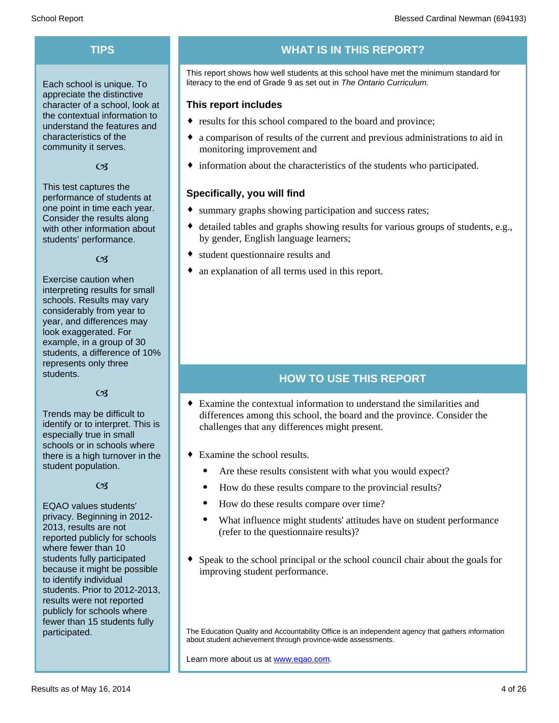Each school is unique. To appreciate the distinctive character of a school, look at the contextual information to understand the features and characteristics of the community it serves.

#### $C<sub>3</sub>$

This test captures the performance of students at one point in time each year. Consider the results along with other information about students' performance.

#### $\alpha$

Exercise caution when interpreting results for small schools. Results may vary considerably from year to year, and differences may look exaggerated. For example, in a group of 30 students, a difference of 10% represents only three students.

#### $C<sub>3</sub>$

Trends may be difficult to identify or to interpret. This is especially true in small schools or in schools where there is a high turnover in the student population.

#### $C<sub>3</sub>$

EQAO values students' privacy. Beginning in 2012- 2013, results are not reported publicly for schools where fewer than 10 students fully participated because it might be possible to identify individual students. Prior to 2012-2013, results were not reported publicly for schools where fewer than 15 students fully participated.

#### **TIPS WHAT IS IN THIS REPORT?**

This report shows how well students at this school have met the minimum standard for literacy to the end of Grade 9 as set out in *The Ontario Curriculum.*

#### **This report includes**

- results for this school compared to the board and province;
- a comparison of results of the current and previous administrations to aid in monitoring improvement and
- $\bullet$  information about the characteristics of the students who participated.

#### **Specifically, you will find**

- summary graphs showing participation and success rates;
- $\bullet$  detailed tables and graphs showing results for various groups of students, e.g., by gender, English language learners;
- student questionnaire results and
- an explanation of all terms used in this report.

#### **HOW TO USE THIS REPORT**

- $\bullet$  Examine the contextual information to understand the similarities and differences among this school, the board and the province. Consider the challenges that any differences might present.
- $\bullet$  Examine the school results.
	- Are these results consistent with what you would expect?
	- · How do these results compare to the provincial results?
	- How do these results compare over time?
	- · What influence might students' attitudes have on student performance (refer to the questionnaire results)?
- $\bullet$  Speak to the school principal or the school council chair about the goals for improving student performance.

The Education Quality and Accountability Office is an independent agency that gathers information about student achievement through province-wide assessments.

Learn more about us at www.eqao.com.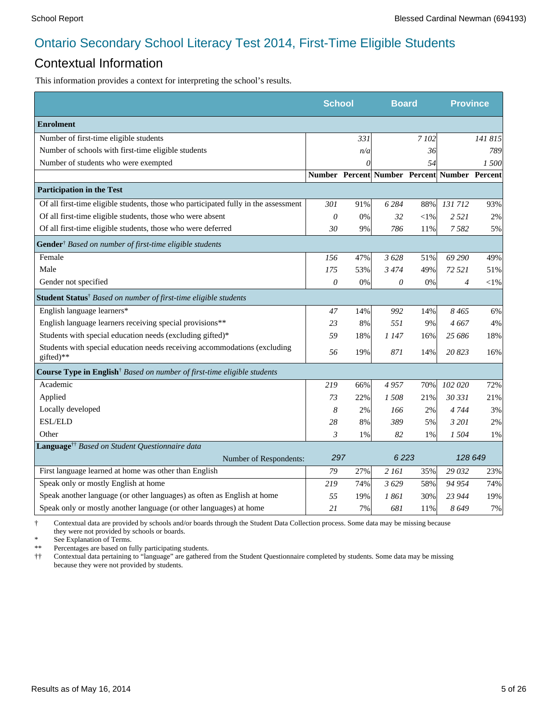#### Contextual Information

This information provides a context for interpreting the school's results.

|                                                                                        | <b>School</b>  |       | <b>Board</b>                                 |           | <b>Province</b> |           |
|----------------------------------------------------------------------------------------|----------------|-------|----------------------------------------------|-----------|-----------------|-----------|
| <b>Enrolment</b>                                                                       |                |       |                                              |           |                 |           |
| Number of first-time eligible students                                                 |                | 331   |                                              | 7 102     |                 | 141 815   |
| Number of schools with first-time eligible students                                    |                | n/a   |                                              | 36        |                 | 789       |
| Number of students who were exempted                                                   |                |       |                                              | 54        |                 | 1 500     |
|                                                                                        |                |       | Number Percent Number Percent Number Percent |           |                 |           |
| <b>Participation in the Test</b>                                                       |                |       |                                              |           |                 |           |
| Of all first-time eligible students, those who participated fully in the assessment    | 301            | 91%   | 6 2 8 4                                      | 88%       | 131712          | 93%       |
| Of all first-time eligible students, those who were absent                             | $\theta$       | 0%    | 32                                           | $<$ l $%$ | 2 5 2 1         | 2%        |
| Of all first-time eligible students, those who were deferred                           | 30             | 9%    | 786                                          | 11%       | 7582            | 5%        |
| Gender <sup>†</sup> Based on number of first-time eligible students                    |                |       |                                              |           |                 |           |
| Female                                                                                 | 156            | 47%   | 3628                                         | 51%       | 69 290          | 49%       |
| Male                                                                                   | 175            | 53%   | 3474                                         | 49%       | 72 521          | 51%       |
| Gender not specified                                                                   | $\mathcal O$   | $0\%$ | 0                                            | $0\%$     | $\overline{4}$  | $<$ l $%$ |
| Student Status <sup>†</sup> Based on number of first-time eligible students            |                |       |                                              |           |                 |           |
| English language learners*                                                             | 47             | 14%   | 992                                          | 14%       | 8465            | 6%        |
| English language learners receiving special provisions**                               | 23             | 8%    | 551                                          | 9%        | 4667            | 4%        |
| Students with special education needs (excluding gifted)*                              | 59             | 18%   | 1 147                                        | 16%       | 25 686          | 18%       |
| Students with special education needs receiving accommodations (excluding<br>gifted)** | 56             | 19%   | 871                                          | 14%       | 20823           | 16%       |
| Course Type in English <sup>†</sup> Based on number of first-time eligible students    |                |       |                                              |           |                 |           |
| Academic                                                                               | 219            | 66%   | 4957                                         | 70%       | 102 020         | 72%       |
| Applied                                                                                | 73             | 22%   | 1508                                         | 21%       | 30 331          | 21%       |
| Locally developed                                                                      | 8              | 2%    | 166                                          | 2%        | 4 7 4 4         | 3%        |
| ESL/ELD                                                                                | 28             | 8%    | 389                                          | 5%        | 3 201           | 2%        |
| Other                                                                                  | $\mathfrak{Z}$ | 1%    | 82                                           | 1%        | 1 504           | 1%        |
| Language <sup>††</sup> Based on Student Questionnaire data                             |                |       |                                              |           |                 |           |
| Number of Respondents:                                                                 | 297            |       | 6223                                         |           | 128 649         |           |
| First language learned at home was other than English                                  | 79             | 27%   | 2 161                                        | 35%       | 29 032          | 23%       |
| Speak only or mostly English at home                                                   | 219            | 74%   | 3629                                         | 58%       | 94 954          | 74%       |
| Speak another language (or other languages) as often as English at home                | 55             | 19%   | 1 861                                        | 30%       | 23 944          | 19%       |
| Speak only or mostly another language (or other languages) at home                     | 21             | 7%    | 681                                          | 11%       | 8649            | 7%        |

† Contextual data are provided by schools and/or boards through the Student Data Collection process. Some data may be missing because they were not provided by schools or boards.

\* See Explanation of Terms.<br>\*\* Percentages are based on fix

Percentages are based on fully participating students.

†† Contextual data pertaining to "language" are gathered from the Student Questionnaire completed by students. Some data may be missing because they were not provided by students.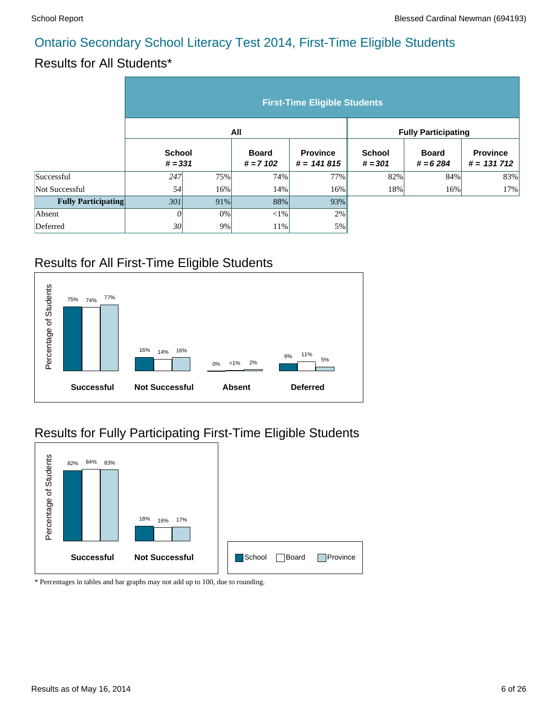# Results for All Students\*

|                            | <b>First-Time Eligible Students</b> |     |                            |                                 |                            |                            |                                  |  |  |  |
|----------------------------|-------------------------------------|-----|----------------------------|---------------------------------|----------------------------|----------------------------|----------------------------------|--|--|--|
|                            |                                     |     | All                        |                                 | <b>Fully Participating</b> |                            |                                  |  |  |  |
|                            | <b>School</b><br>$# = 331$          |     | <b>Board</b><br>$# = 7102$ | <b>Province</b><br>$# = 141815$ | <b>School</b><br>$# = 301$ | <b>Board</b><br>$# = 6284$ | <b>Province</b><br>$# = 131 712$ |  |  |  |
| Successful                 | 247                                 | 75% | 74%                        | 77%                             | 82%                        | 84%                        | 83%                              |  |  |  |
| Not Successful             | 54                                  | 16% | 14%                        | 16%                             | 18%                        | 16%                        | 17%                              |  |  |  |
| <b>Fully Participating</b> | 301                                 | 91% | 88%                        | 93%                             |                            |                            |                                  |  |  |  |
| Absent                     | 0                                   | 0%  | $<$ 1%                     | 2%                              |                            |                            |                                  |  |  |  |
| Deferred                   | 30                                  | 9%  | 11%                        | 5%                              |                            |                            |                                  |  |  |  |

# Results for All First-Time Eligible Students



# Results for Fully Participating First-Time Eligible Students

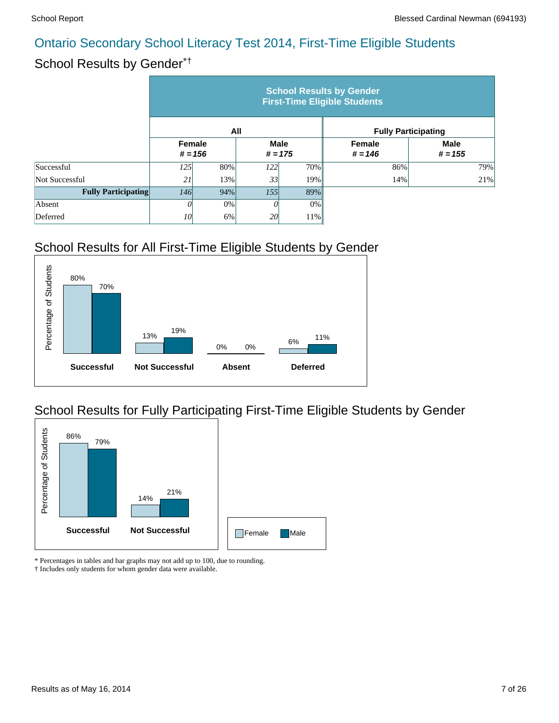# School Results by Gender\*†

|                            | <b>School Results by Gender</b><br><b>First-Time Eligible Students</b> |           |                          |     |                            |                          |  |  |  |  |
|----------------------------|------------------------------------------------------------------------|-----------|--------------------------|-----|----------------------------|--------------------------|--|--|--|--|
|                            |                                                                        |           | All                      |     | <b>Fully Participating</b> |                          |  |  |  |  |
|                            | <b>Female</b>                                                          | $# = 156$ | <b>Male</b><br>$# = 175$ |     | Female<br>$# = 146$        | <b>Male</b><br>$# = 155$ |  |  |  |  |
| Successful                 | 125                                                                    | 80%       | <i>122</i>               | 70% | 86%                        | 79%                      |  |  |  |  |
| Not Successful             | 21                                                                     | 13%       | 33                       | 19% | 14%                        | 21%                      |  |  |  |  |
| <b>Fully Participating</b> | <i>146</i>                                                             | 94%       | 155                      | 89% |                            |                          |  |  |  |  |
| Absent                     |                                                                        | 0%        |                          | 0%  |                            |                          |  |  |  |  |
| Deferred                   | 10                                                                     | 6%        | 20                       | 11% |                            |                          |  |  |  |  |

# School Results for All First-Time Eligible Students by Gender



# School Results for Fully Participating First-Time Eligible Students by Gender



\* Percentages in tables and bar graphs may not add up to 100, due to rounding.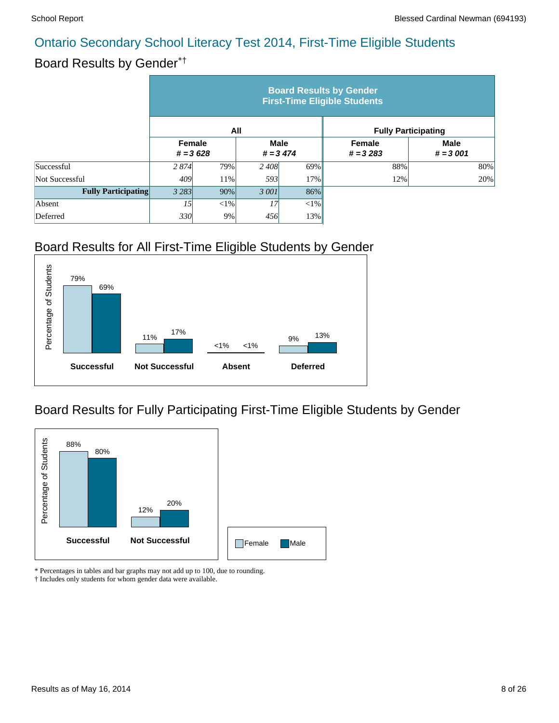#### Board Results by Gender\*†

|                            | <b>Board Results by Gender</b><br><b>First-Time Eligible Students</b> |            |                           |     |                            |                           |  |  |  |  |
|----------------------------|-----------------------------------------------------------------------|------------|---------------------------|-----|----------------------------|---------------------------|--|--|--|--|
|                            |                                                                       | All        |                           |     | <b>Fully Participating</b> |                           |  |  |  |  |
|                            | <b>Female</b>                                                         | $# = 3628$ | <b>Male</b><br>$# = 3474$ |     | Female<br>$# = 3283$       | <b>Male</b><br>$# = 3001$ |  |  |  |  |
| Successful                 | 2 8 7 4                                                               | 79%        | 2 4 0 8                   | 69% | 88%                        | 80%                       |  |  |  |  |
| Not Successful             | 409                                                                   | 11%        | 593                       | 17% | 12%                        | 20%                       |  |  |  |  |
| <b>Fully Participating</b> | 3 2 8 3                                                               | 90%        | 3 001                     | 86% |                            |                           |  |  |  |  |
| Absent                     | 15                                                                    | $<$ 1%     | 17                        | <1% |                            |                           |  |  |  |  |
| Deferred                   | 330                                                                   | 9%         | 456                       | 13% |                            |                           |  |  |  |  |

# Board Results for All First-Time Eligible Students by Gender



#### Board Results for Fully Participating First-Time Eligible Students by Gender



\* Percentages in tables and bar graphs may not add up to 100, due to rounding.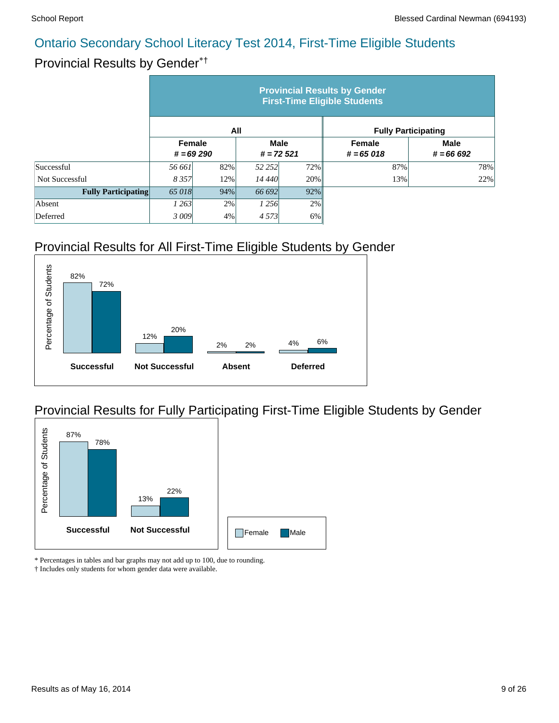#### Provincial Results by Gender\*†

|                            | <b>Provincial Results by Gender</b><br><b>First-Time Eligible Students</b> |     |                            |        |                            |                            |  |  |  |  |
|----------------------------|----------------------------------------------------------------------------|-----|----------------------------|--------|----------------------------|----------------------------|--|--|--|--|
|                            |                                                                            | All |                            |        | <b>Fully Participating</b> |                            |  |  |  |  |
|                            | <b>Female</b><br>$# = 69290$                                               |     | <b>Male</b><br>$# = 72521$ |        | Female<br>$# = 65018$      | <b>Male</b><br>$# = 66692$ |  |  |  |  |
| Successful                 | 56 661                                                                     | 82% | 52 252                     | 72%    | 87%                        | 78%                        |  |  |  |  |
| Not Successful             | 8 3 5 7                                                                    | 12% | 14 440                     | 20%    | 13%                        | 22%                        |  |  |  |  |
| <b>Fully Participating</b> | 65 018                                                                     | 94% | 66 692                     | $92\%$ |                            |                            |  |  |  |  |
| Absent                     | 1 263                                                                      | 2%  | 1 2 5 6                    | 2%     |                            |                            |  |  |  |  |
| Deferred                   | 3009                                                                       | 4%  | 4 5 7 3                    | $6\%$  |                            |                            |  |  |  |  |

# Provincial Results for All First-Time Eligible Students by Gender



#### Provincial Results for Fully Participating First-Time Eligible Students by Gender



\* Percentages in tables and bar graphs may not add up to 100, due to rounding.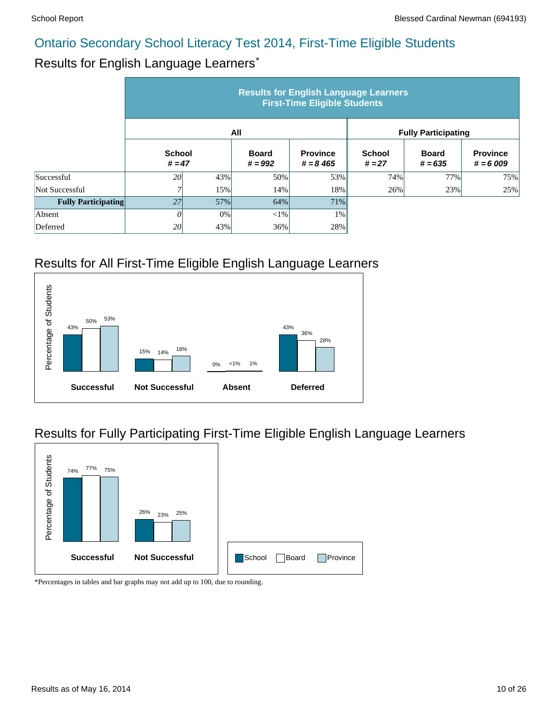#### Results for English Language Learners\*

|                            | <b>Results for English Language Learners</b><br><b>First-Time Eligible Students</b> |     |                           |                                |                            |                           |                               |  |  |  |
|----------------------------|-------------------------------------------------------------------------------------|-----|---------------------------|--------------------------------|----------------------------|---------------------------|-------------------------------|--|--|--|
|                            |                                                                                     |     | All                       |                                | <b>Fully Participating</b> |                           |                               |  |  |  |
|                            | <b>School</b><br>$# = 47$                                                           |     | <b>Board</b><br>$# = 992$ | <b>Province</b><br>$# = 8,465$ | <b>School</b><br>$# = 27$  | <b>Board</b><br>$# = 635$ | <b>Province</b><br>$# = 6009$ |  |  |  |
| Successful                 | <i>20</i>                                                                           | 43% | 50%                       | 53%                            | 74%                        | 77%                       | 75%                           |  |  |  |
| Not Successful             | 7                                                                                   | 15% | 14%                       | 18%                            | 26%                        | 23%                       | 25%                           |  |  |  |
| <b>Fully Participating</b> | 27                                                                                  | 57% | 64%                       | 71%                            |                            |                           |                               |  |  |  |
| Absent                     | 0                                                                                   | 0%  | $<$ 1%                    | 1%                             |                            |                           |                               |  |  |  |
| Deferred                   | 20                                                                                  | 43% | 36%                       | 28%                            |                            |                           |                               |  |  |  |

#### Results for All First-Time Eligible English Language Learners



# Results for Fully Participating First-Time Eligible English Language Learners

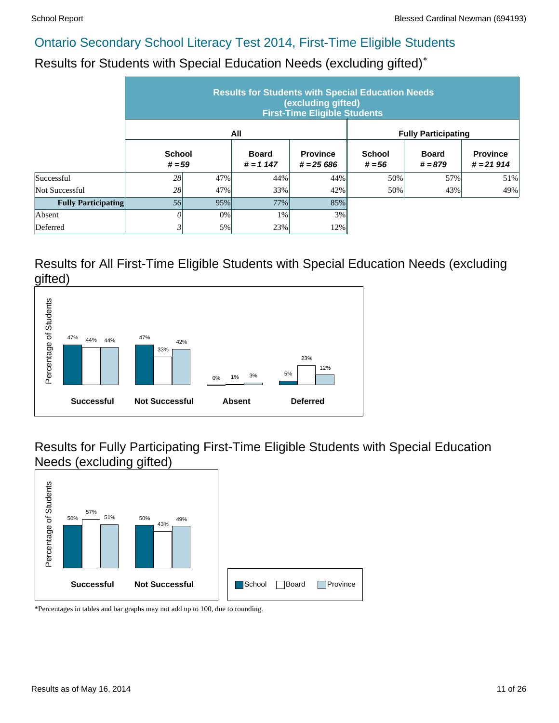Results for Students with Special Education Needs (excluding gifted)\*

|                            | <b>Results for Students with Special Education Needs</b><br>(excluding gifted)<br><b>First-Time Eligible Students</b> |     |                             |                               |                            |                           |                                |  |  |  |
|----------------------------|-----------------------------------------------------------------------------------------------------------------------|-----|-----------------------------|-------------------------------|----------------------------|---------------------------|--------------------------------|--|--|--|
|                            |                                                                                                                       |     | All                         |                               | <b>Fully Participating</b> |                           |                                |  |  |  |
|                            | <b>School</b><br>$# = 59$                                                                                             |     | <b>Board</b><br>$# = 1 147$ | <b>Province</b><br>$# = 2566$ | <b>School</b><br>$# = 56$  | <b>Board</b><br>$# = 879$ | <b>Province</b><br>$# = 21914$ |  |  |  |
| Successful                 | 28                                                                                                                    | 47% | 44%                         | 44%                           | 50%                        | 57%                       | 51%                            |  |  |  |
| Not Successful             | 28                                                                                                                    | 47% | 33%                         | 42%                           | 50%                        | 43%                       | 49%                            |  |  |  |
| <b>Fully Participating</b> | 56                                                                                                                    | 95% | 77%                         | 85%                           |                            |                           |                                |  |  |  |
| Absent                     | 0                                                                                                                     | 0%  | 1%                          | 3%                            |                            |                           |                                |  |  |  |
| Deferred                   | 3                                                                                                                     | 5%  | 23%                         | 12%                           |                            |                           |                                |  |  |  |

#### Results for All First-Time Eligible Students with Special Education Needs (excluding gifted)



Results for Fully Participating First-Time Eligible Students with Special Education Needs (excluding gifted)

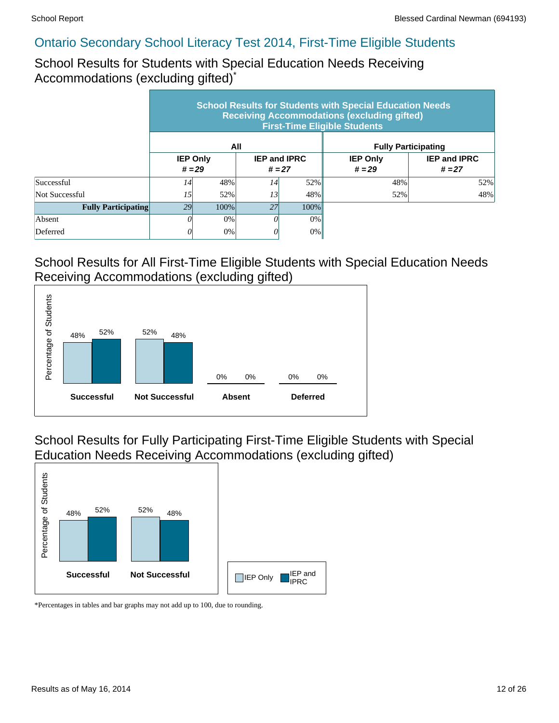School Results for Students with Special Education Needs Receiving Accommodations (excluding gifted)\*

|                            | <b>School Results for Students with Special Education Needs</b><br><b>Receiving Accommodations (excluding gifted)</b><br><b>First-Time Eligible Students</b> |                             |                                 |         |                             |                                 |  |  |  |  |
|----------------------------|--------------------------------------------------------------------------------------------------------------------------------------------------------------|-----------------------------|---------------------------------|---------|-----------------------------|---------------------------------|--|--|--|--|
|                            |                                                                                                                                                              |                             | All                             |         |                             | <b>Fully Participating</b>      |  |  |  |  |
|                            |                                                                                                                                                              | <b>IEP Only</b><br>$# = 29$ | <b>IEP and IPRC</b><br>$# = 27$ |         | <b>IEP Only</b><br>$# = 29$ | <b>IEP and IPRC</b><br>$# = 27$ |  |  |  |  |
| Successful                 | 14                                                                                                                                                           | 48%                         | 14                              | 52%     | 48%                         | 52%                             |  |  |  |  |
| Not Successful             | 15                                                                                                                                                           | 52%                         | 13                              | 48%     | 52%                         | 48%                             |  |  |  |  |
| <b>Fully Participating</b> | 29                                                                                                                                                           | 100%                        | 27                              | $100\%$ |                             |                                 |  |  |  |  |
| Absent                     |                                                                                                                                                              | 0%                          |                                 | $0\%$   |                             |                                 |  |  |  |  |
| Deferred                   |                                                                                                                                                              | 0%                          |                                 | 0%      |                             |                                 |  |  |  |  |

#### School Results for All First-Time Eligible Students with Special Education Needs Receiving Accommodations (excluding gifted)



School Results for Fully Participating First-Time Eligible Students with Special Education Needs Receiving Accommodations (excluding gifted)

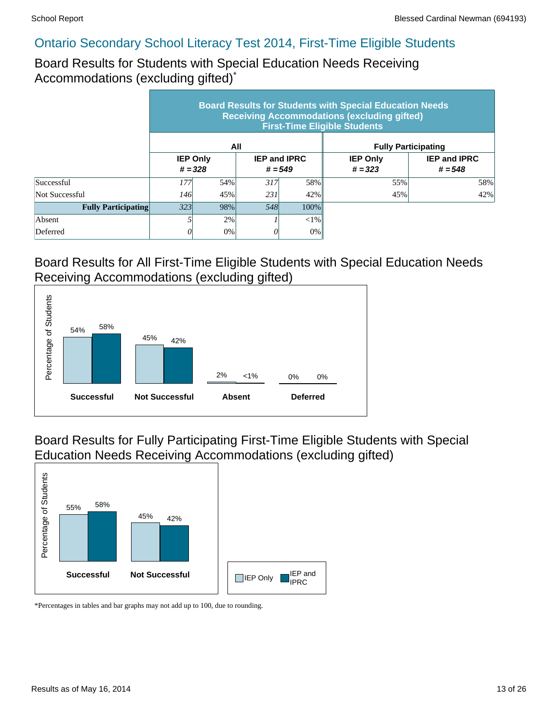Board Results for Students with Special Education Needs Receiving Accommodations (excluding gifted)\*

|                            | <b>Board Results for Students with Special Education Needs</b><br><b>Receiving Accommodations (excluding gifted)</b><br><b>First-Time Eligible Students</b> |                              |                                  |         |                              |                                  |  |  |  |  |
|----------------------------|-------------------------------------------------------------------------------------------------------------------------------------------------------------|------------------------------|----------------------------------|---------|------------------------------|----------------------------------|--|--|--|--|
|                            |                                                                                                                                                             |                              | All                              |         | <b>Fully Participating</b>   |                                  |  |  |  |  |
|                            |                                                                                                                                                             | <b>IEP Only</b><br>$# = 328$ | <b>IEP and IPRC</b><br>$# = 549$ |         | <b>IEP Only</b><br>$# = 323$ | <b>IEP and IPRC</b><br>$# = 548$ |  |  |  |  |
| Successful                 | 177                                                                                                                                                         | 54%                          | 317                              | 58%     | 55%                          | 58%                              |  |  |  |  |
| Not Successful             | <i>146</i>                                                                                                                                                  | 45%                          | 231                              | 42%     | 45%                          | 42%                              |  |  |  |  |
| <b>Fully Participating</b> | 323                                                                                                                                                         | 98%                          | 548                              | $100\%$ |                              |                                  |  |  |  |  |
| Absent                     |                                                                                                                                                             | 2%                           |                                  | $< 1\%$ |                              |                                  |  |  |  |  |
| Deferred                   |                                                                                                                                                             | 0%                           |                                  | 0%      |                              |                                  |  |  |  |  |

#### Board Results for All First-Time Eligible Students with Special Education Needs Receiving Accommodations (excluding gifted)



Board Results for Fully Participating First-Time Eligible Students with Special Education Needs Receiving Accommodations (excluding gifted)

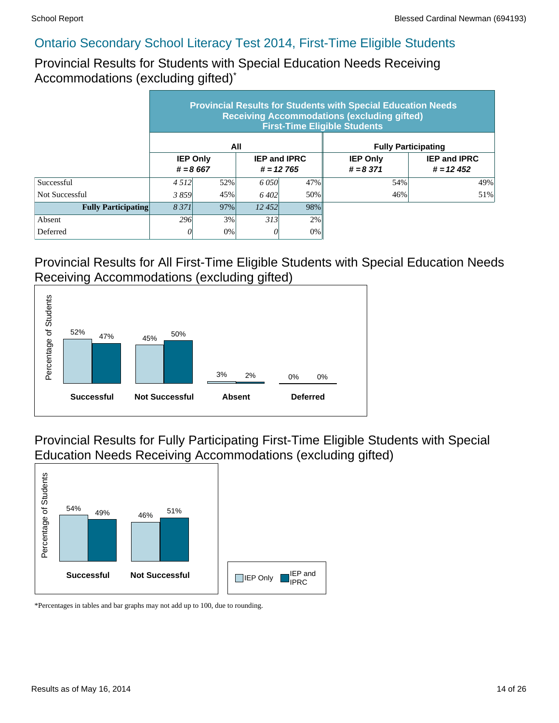Provincial Results for Students with Special Education Needs Receiving Accommodations (excluding gifted)\*

|                            | <b>Provincial Results for Students with Special Education Needs</b><br><b>Receiving Accommodations (excluding gifted)</b><br><b>First-Time Eligible Students</b> |                               |                                    |       |                                |                                    |  |  |  |  |
|----------------------------|------------------------------------------------------------------------------------------------------------------------------------------------------------------|-------------------------------|------------------------------------|-------|--------------------------------|------------------------------------|--|--|--|--|
|                            |                                                                                                                                                                  |                               | All                                |       | <b>Fully Participating</b>     |                                    |  |  |  |  |
|                            |                                                                                                                                                                  | <b>IEP Only</b><br>$# = 8667$ | <b>IEP and IPRC</b><br>$# = 12765$ |       | <b>IEP Only</b><br>$# = 8,371$ | <b>IEP and IPRC</b><br>$# = 12452$ |  |  |  |  |
| Successful                 | 4 5 1 2                                                                                                                                                          | 52%                           | 6.050                              | 47%   | 54%                            | 49%                                |  |  |  |  |
| Not Successful             | 3859                                                                                                                                                             | 45%                           | 6.402                              | 50%   | 46%                            | 51%                                |  |  |  |  |
| <b>Fully Participating</b> | 8 3 7 1                                                                                                                                                          | 97%                           | 12452                              | 98%   |                                |                                    |  |  |  |  |
| Absent                     | 296                                                                                                                                                              | 3%                            | 313                                | 2%    |                                |                                    |  |  |  |  |
| Deferred                   |                                                                                                                                                                  | 0%                            |                                    | $0\%$ |                                |                                    |  |  |  |  |

#### Provincial Results for All First-Time Eligible Students with Special Education Needs Receiving Accommodations (excluding gifted)



Provincial Results for Fully Participating First-Time Eligible Students with Special Education Needs Receiving Accommodations (excluding gifted)

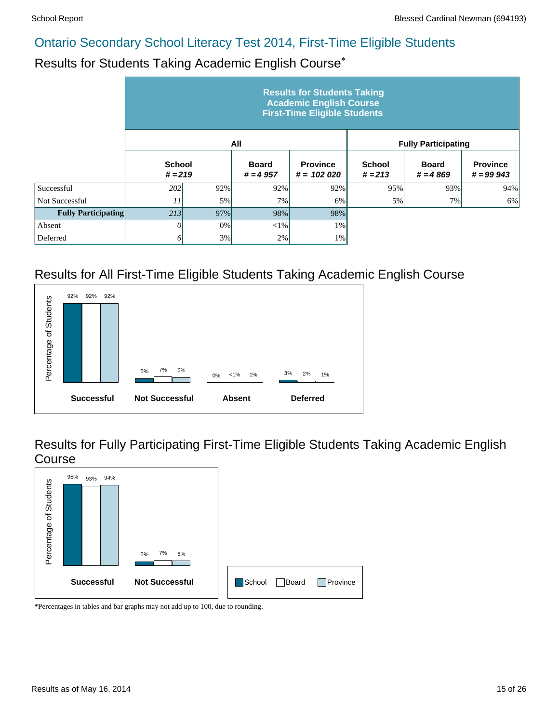#### Results for Students Taking Academic English Course\*

|                            | <b>Results for Students Taking</b><br><b>Academic English Course</b><br><b>First-Time Eligible Students</b> |     |                            |                                 |                            |                            |                                |  |  |  |  |
|----------------------------|-------------------------------------------------------------------------------------------------------------|-----|----------------------------|---------------------------------|----------------------------|----------------------------|--------------------------------|--|--|--|--|
|                            |                                                                                                             |     | All                        |                                 |                            | <b>Fully Participating</b> |                                |  |  |  |  |
|                            | <b>School</b><br>$# = 219$                                                                                  |     | <b>Board</b><br>$# = 4957$ | <b>Province</b><br>$# = 102020$ | <b>School</b><br>$# = 213$ | <b>Board</b><br>$# = 4869$ | <b>Province</b><br>$# = 99943$ |  |  |  |  |
| Successful                 | 202 <sup>1</sup>                                                                                            | 92% | 92%                        | 92%                             | 95%                        | 93%                        | 94%                            |  |  |  |  |
| Not Successful             | 11                                                                                                          | 5%  | 7%                         | 6%                              | 5%                         | 7%                         | 6%                             |  |  |  |  |
| <b>Fully Participating</b> | 213                                                                                                         | 97% | 98%                        | 98%                             |                            |                            |                                |  |  |  |  |
| Absent                     | 0                                                                                                           | 0%  | $<$ 1%                     | 1%                              |                            |                            |                                |  |  |  |  |
| Deferred                   | 61                                                                                                          | 3%  | 2%                         | 1%                              |                            |                            |                                |  |  |  |  |

#### Results for All First-Time Eligible Students Taking Academic English Course



Results for Fully Participating First-Time Eligible Students Taking Academic English Course

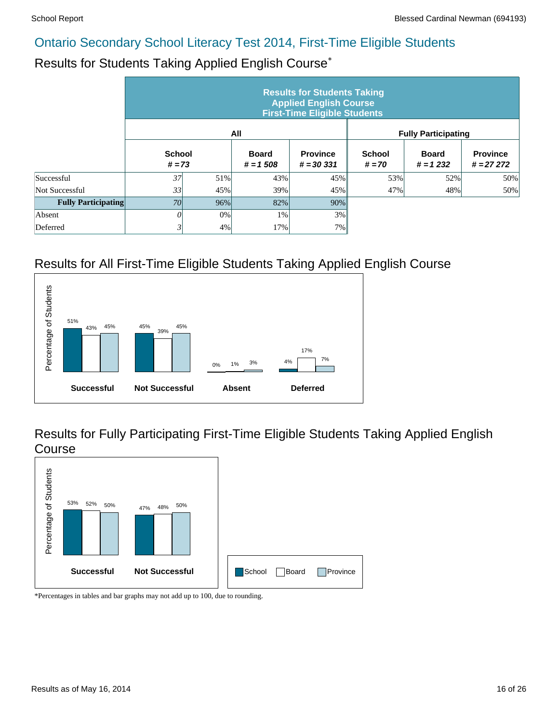# Results for Students Taking Applied English Course\*

|                            | <b>Results for Students Taking</b><br><b>Applied English Course</b><br><b>First-Time Eligible Students</b> |        |                            |                                 |                           |                            |                                |  |  |  |  |  |
|----------------------------|------------------------------------------------------------------------------------------------------------|--------|----------------------------|---------------------------------|---------------------------|----------------------------|--------------------------------|--|--|--|--|--|
|                            |                                                                                                            |        | All                        |                                 |                           | <b>Fully Participating</b> |                                |  |  |  |  |  |
|                            | <b>School</b><br>$# = 73$                                                                                  |        | <b>Board</b><br>$# = 1508$ | <b>Province</b><br>$# = 30,331$ | <b>School</b><br>$# = 70$ | <b>Board</b><br>$# = 1232$ | <b>Province</b><br>$# = 27272$ |  |  |  |  |  |
| Successful                 | 37                                                                                                         | 51%    | 43%                        | 45%                             | 53%                       | 52%                        | 50%                            |  |  |  |  |  |
| Not Successful             | 33                                                                                                         | 45%    | 39%                        | 45%                             | 47%                       | 48%                        | 50%                            |  |  |  |  |  |
| <b>Fully Participating</b> | <i>70</i>                                                                                                  | $96\%$ | 82%                        | 90%                             |                           |                            |                                |  |  |  |  |  |
| Absent                     | 0                                                                                                          | 0%     | 1%                         | 3%                              |                           |                            |                                |  |  |  |  |  |
| Deferred                   | 3                                                                                                          | 4%     | 17%                        | 7%                              |                           |                            |                                |  |  |  |  |  |

# Results for All First-Time Eligible Students Taking Applied English Course



Results for Fully Participating First-Time Eligible Students Taking Applied English Course

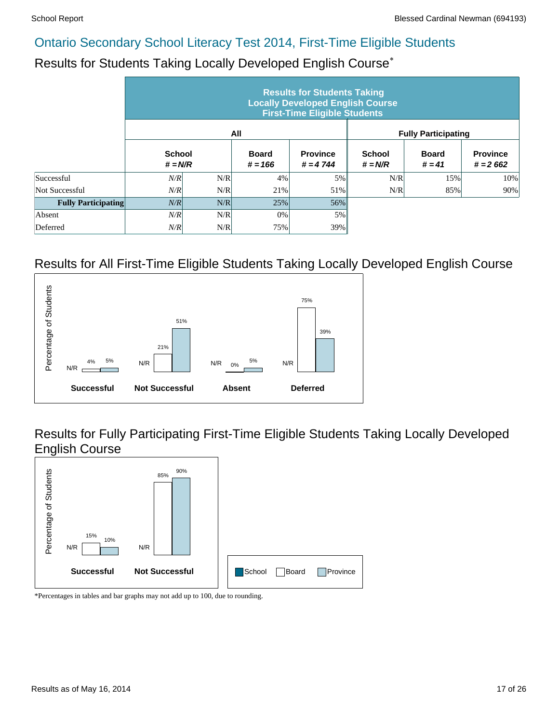# Results for Students Taking Locally Developed English Course\*

|                            |                            |     |                           | <b>Results for Students Taking</b><br><b>Locally Developed English Course</b><br><b>First-Time Eligible Students</b> |                            |                            |                               |
|----------------------------|----------------------------|-----|---------------------------|----------------------------------------------------------------------------------------------------------------------|----------------------------|----------------------------|-------------------------------|
|                            |                            |     | All                       |                                                                                                                      |                            | <b>Fully Participating</b> |                               |
|                            | <b>School</b><br>$# = N/R$ |     | <b>Board</b><br>$# = 166$ | <b>Province</b><br>$# = 4744$                                                                                        | <b>School</b><br>$# = N/R$ | <b>Board</b><br>$# = 41$   | <b>Province</b><br>$# = 2662$ |
| Successful                 | N/R                        | N/R | 4%                        | 5%                                                                                                                   | N/R                        | 15%                        | 10%                           |
| Not Successful             | N/R                        | N/R | 21%                       | 51%                                                                                                                  | N/R                        | 85%                        | 90%                           |
| <b>Fully Participating</b> | N/R                        | N/R | 25%                       | 56%                                                                                                                  |                            |                            |                               |
| Absent                     | N/R                        | N/R | 0%                        | 5%                                                                                                                   |                            |                            |                               |
| Deferred                   | N/R                        | N/R | 75%                       | 39%                                                                                                                  |                            |                            |                               |

#### Results for All First-Time Eligible Students Taking Locally Developed English Course



Results for Fully Participating First-Time Eligible Students Taking Locally Developed English Course

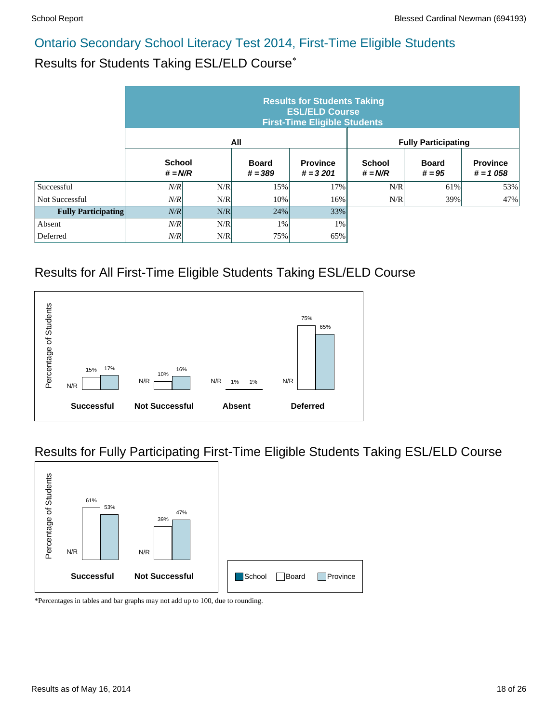#### Results for Students Taking ESL/ELD Course\*

|                            | <b>Results for Students Taking</b><br><b>ESL/ELD Course</b><br><b>First-Time Eligible Students</b> |     |                           |                               |                            |                            |                               |  |  |  |  |  |
|----------------------------|----------------------------------------------------------------------------------------------------|-----|---------------------------|-------------------------------|----------------------------|----------------------------|-------------------------------|--|--|--|--|--|
|                            |                                                                                                    |     | All                       |                               |                            | <b>Fully Participating</b> |                               |  |  |  |  |  |
|                            | <b>School</b><br>$# = N/R$                                                                         |     | <b>Board</b><br>$# = 389$ | <b>Province</b><br>$# = 3201$ | <b>School</b><br>$# = N/R$ | <b>Board</b><br>$# = 95$   | <b>Province</b><br>$# = 1058$ |  |  |  |  |  |
| Successful                 | N/R                                                                                                | N/R | 15%                       | 17%                           | N/R                        | 61%                        | 53%                           |  |  |  |  |  |
| Not Successful             | N/R                                                                                                | N/R | 10%                       | 16%                           | N/R                        | 39%                        | 47%                           |  |  |  |  |  |
| <b>Fully Participating</b> | N/R                                                                                                | N/R | 24%                       | 33%                           |                            |                            |                               |  |  |  |  |  |
| Absent                     | N/R                                                                                                | N/R | 1%                        | $1\%$                         |                            |                            |                               |  |  |  |  |  |
| Deferred                   | N/R                                                                                                | N/R | 75%                       | 65%                           |                            |                            |                               |  |  |  |  |  |

#### Results for All First-Time Eligible Students Taking ESL/ELD Course



#### Results for Fully Participating First-Time Eligible Students Taking ESL/ELD Course

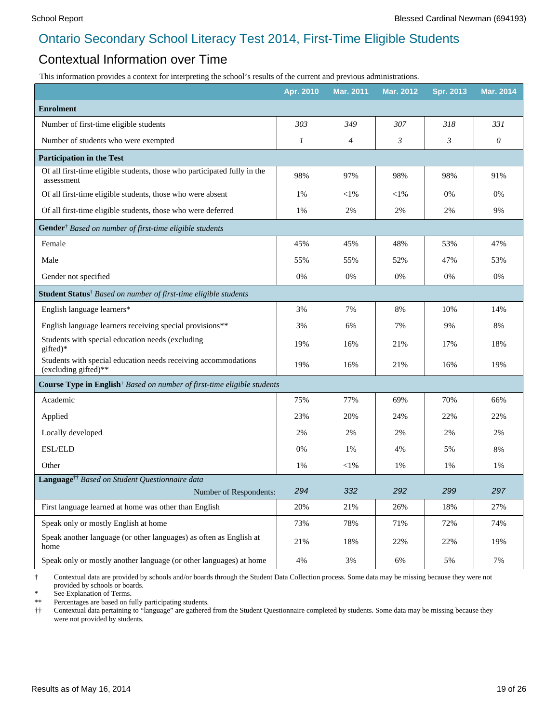#### Contextual Information over Time

This information provides a context for interpreting the school's results of the current and previous administrations.

|                                                                                        | Apr. 2010 | <b>Mar. 2011</b> | Mar. 2012 | <b>Spr. 2013</b> | <b>Mar. 2014</b> |
|----------------------------------------------------------------------------------------|-----------|------------------|-----------|------------------|------------------|
| <b>Enrolment</b>                                                                       |           |                  |           |                  |                  |
| Number of first-time eligible students                                                 | 303       | 349              | 307       | 318              | 331              |
| Number of students who were exempted                                                   | 1         | 4                | 3         | 3                | 0                |
| <b>Participation in the Test</b>                                                       |           |                  |           |                  |                  |
| Of all first-time eligible students, those who participated fully in the<br>assessment | 98%       | 97%              | 98%       | 98%              | 91%              |
| Of all first-time eligible students, those who were absent                             | 1%        | $<$ 1%           | $<$ l $%$ | 0%               | 0%               |
| Of all first-time eligible students, those who were deferred                           | 1%        | 2%               | 2%        | 2%               | 9%               |
| Gender <sup>†</sup> Based on number of first-time eligible students                    |           |                  |           |                  |                  |
| Female                                                                                 | 45%       | 45%              | 48%       | 53%              | 47%              |
| Male                                                                                   | 55%       | 55%              | 52%       | 47%              | 53%              |
| Gender not specified                                                                   | 0%        | 0%               | 0%        | 0%               | 0%               |
| Student Status <sup>†</sup> Based on number of first-time eligible students            |           |                  |           |                  |                  |
| English language learners*                                                             | 3%        | 7%               | 8%        | 10%              | 14%              |
| English language learners receiving special provisions**                               | 3%        | 6%               | 7%        | 9%               | 8%               |
| Students with special education needs (excluding<br>gifted)*                           | 19%       | 16%              | 21%       | 17%              | 18%              |
| Students with special education needs receiving accommodations<br>(excluding gifted)** | 19%       | 16%              | 21%       | 16%              | 19%              |
| Course Type in English <sup>†</sup> Based on number of first-time eligible students    |           |                  |           |                  |                  |
| Academic                                                                               | 75%       | 77%              | 69%       | 70%              | 66%              |
| Applied                                                                                | 23%       | 20%              | 24%       | 22%              | 22%              |
| Locally developed                                                                      | 2%        | 2%               | 2%        | 2%               | 2%               |
| <b>ESL/ELD</b>                                                                         | 0%        | 1%               | 4%        | 5%               | 8%               |
| Other                                                                                  | 1%        | $<$ 1%           | 1%        | 1%               | 1%               |
| Language <sup>††</sup> Based on Student Questionnaire data                             |           |                  |           |                  |                  |
| Number of Respondents:                                                                 | 294       | 332              | 292       | 299              | 297              |
| First language learned at home was other than English                                  | 20%       | 21%              | 26%       | 18%              | 27%              |
| Speak only or mostly English at home                                                   | 73%       | 78%              | 71%       | 72%              | 74%              |
| Speak another language (or other languages) as often as English at<br>home             | 21%       | 18%              | 22%       | 22%              | 19%              |
| Speak only or mostly another language (or other languages) at home                     | 4%        | 3%               | 6%        | 5%               | 7%               |

† Contextual data are provided by schools and/or boards through the Student Data Collection process. Some data may be missing because they were not provided by schools or boards.

\* See Explanation of Terms.

Percentages are based on fully participating students.

†† Contextual data pertaining to "language" are gathered from the Student Questionnaire completed by students. Some data may be missing because they were not provided by students.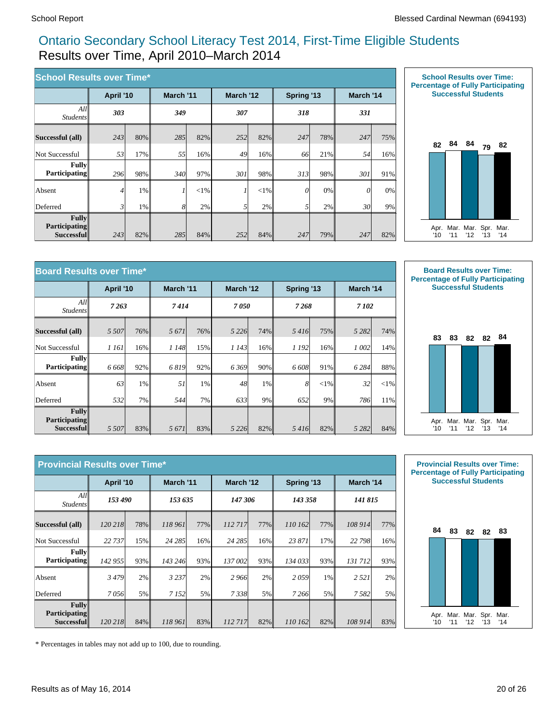#### Ontario Secondary School Literacy Test 2014, First-Time Eligible Students Results over Time, April 2010–March 2014

| <b>School Results over Time*</b>            |           |       |                  |         |           |          |            |     |           |     |
|---------------------------------------------|-----------|-------|------------------|---------|-----------|----------|------------|-----|-----------|-----|
|                                             | April '10 |       | March '11        |         | March '12 |          | Spring '13 |     | March '14 |     |
| All<br><i>Students</i>                      | 303       |       | 349              |         | 307       |          | 318        |     | 331       |     |
| Successful (all)                            | 243       | 80%   | 285              | 82%     | 252       | 82%      | 247        | 78% | 247       | 75% |
| Not Successful                              | 53        | 17%   | 55               | 16%     | 49        | 16%      | 66         | 21% | 54        | 16% |
| <b>Fully</b><br><b>Participating</b>        | 296       | 98%   | 340 <sup> </sup> | 97%     | 301       | 98%      | 313        | 98% | 301       | 91% |
| Absent                                      | 4         | 1%    |                  | $< 1\%$ | 1         | ${<}1\%$ | 0          | 0%  | $\theta$  | 0%  |
| Deferred                                    | 3         | $1\%$ | 8                | 2%      | 51        | 2%       |            | 2%  | 30        | 9%  |
| Fullv<br><b>Participating</b><br>Successful | 243       | 82%   | 285              | 84%     | 252       | 84%      | 247        | 79% | 247       | 82% |



| <b>Board Results over Time*</b>                    |           |       |           |        |           |       |            |          |           |          |
|----------------------------------------------------|-----------|-------|-----------|--------|-----------|-------|------------|----------|-----------|----------|
|                                                    | April '10 |       | March '11 |        | March '12 |       | Spring '13 |          | March '14 |          |
| All<br><b>Students</b>                             | 7 2 6 3   |       | 7414      |        | 7050      |       | 7268       |          | 7 102     |          |
| Successful (all)                                   | 5 5 0 7   | 76%   | 5 6 7 1   | $76\%$ | 5 2 2 6   | 74%   | 5416       | 75%      | 5 2 8 2   | 74%      |
| Not Successful                                     | 1 161     | 16%   | 1 148     | 15%    | 1 143     | 16%   | 1 192      | 16%      | 1 002     | 14%      |
| <b>Fully</b><br><b>Participating</b>               | 6 6 6 8   | 92%   | 6819      | 92%    | 6369      | 90%   | 6 608      | 91%      | 6 2 8 4   | 88%      |
| Absent                                             | 63        | $1\%$ | 51        | $1\%$  | 48        | $1\%$ | 8          | ${<}1\%$ | 32        | ${<}1\%$ |
| Deferred                                           | 532       | 7%    | 544       | 7%     | 633       | 9%    | 652        | 9%       | 786       | 11%      |
| Fullv<br><b>Participating</b><br><b>Successful</b> | 5 5 0 7   | 83%   | 5 671     | 83%    | 5 2 2 6   | 82%   | 5416       | 82%      | 5 2 8 2   | 84%      |



| <b>Provincial Results over Time*</b>               |           |     |           |        |           |     |            |     |           |     |
|----------------------------------------------------|-----------|-----|-----------|--------|-----------|-----|------------|-----|-----------|-----|
|                                                    | April '10 |     | March '11 |        | March '12 |     | Spring '13 |     | March '14 |     |
| All<br><i>Students</i>                             | 153 490   |     | 153 635   |        | 147 306   |     | 143 358    |     | 141 815   |     |
| Successful (all)                                   | 120 218   | 78% | 118 961   | $77\%$ | 112717    | 77% | 110 162    | 77% | 108 914   | 77% |
| Not Successful                                     | 22 737    | 15% | 24 285    | $16\%$ | 24 285    | 16% | 23 871     | 17% | 22 798    | 16% |
| <b>Fully</b><br><b>Participating</b>               | 142 955   | 93% | 143 246   | 93%    | 137 002   | 93% | 134 033    | 93% | 131 712   | 93% |
| Absent                                             | 3479      | 2%  | 3 2 3 7   | 2%     | 2966      | 2%  | 2059       | 1%  | 2 5 2 1   | 2%  |
| Deferred                                           | 7056      | 5%  | 7 1 5 2   | 5%     | 7338      | 5%  | 7 2 6 6    | 5%  | 7582      | 5%  |
| <b>Fully</b><br><b>Participating</b><br>Successful | 120 218   | 84% | 118 961   | 83%    | 112717    | 82% | 110 162    | 82% | 108 914   | 83% |



\* Percentages in tables may not add up to 100, due to rounding.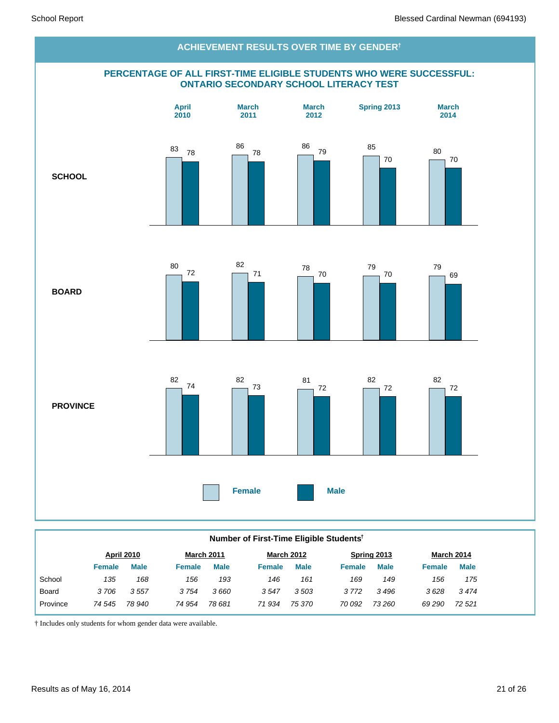

#### **Number of First-Time Eligible Students†**

|              |        | <b>April 2010</b> |               | <b>March 2011</b> |               | <b>March 2012</b> |               | Spring 2013 |        | March 2014  |
|--------------|--------|-------------------|---------------|-------------------|---------------|-------------------|---------------|-------------|--------|-------------|
|              | Female | <b>Male</b>       | <b>Female</b> | <b>Male</b>       | <b>Female</b> | <b>Male</b>       | <b>Female</b> | <b>Male</b> | Female | <b>Male</b> |
| School       | 135    | 168               | 156           | 193               | 146           | 161               | 169           | 149         | 156    | 175         |
| <b>Board</b> | 3706   | 3557              | 3754          | 3 660             | 3547          | 3503              | 3772          | 3496        | 3628   | 3474        |
| Province     | 74 545 | 78 940            | 74 954        | 78 681            | 71934         | 75 370            | 70 092        | 73 260      | 69 290 | 72 521      |
|              |        |                   |               |                   |               |                   |               |             |        |             |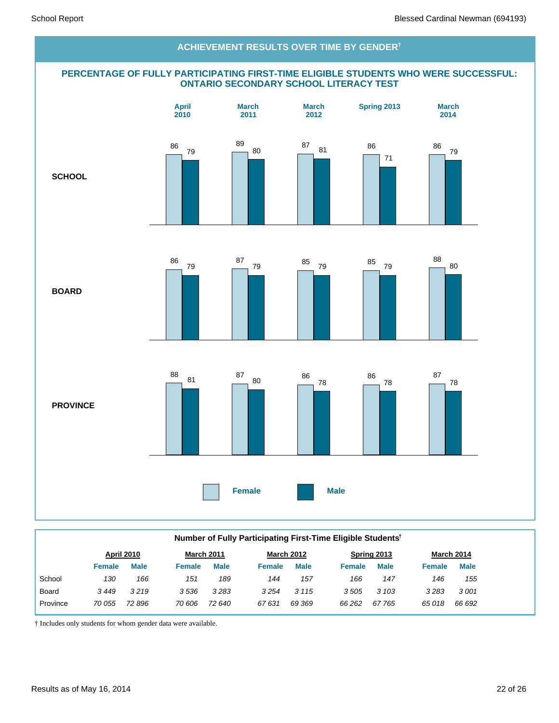#### **PERCENTAGE OF FULLY PARTICIPATING FIRST-TIME ELIGIBLE STUDENTS WHO WERE SUCCESSFUL: ONTARIO SECONDARY SCHOOL LITERACY TEST SCHOOL BOARD PROVINCE Female Male April 2010 March 2011 March 2012 Spring 2013 March 2014 ACHIEVEMENT RESULTS OVER TIME BY GENDER†** 86 79 89 80 87 81 86 71 86 79 86 79 87 <sup>79</sup> <sup>85</sup> <sup>79</sup> <sup>85</sup> <sup>79</sup> 88 80 88 <sup>81</sup> <sup>87</sup> <sup>80</sup> <sup>86</sup> 78 86 78 87 78

|          | Number of Fully Participating First-Time Eligible Students <sup>†</sup> |             |               |             |        |                   |               |             |               |                   |  |  |
|----------|-------------------------------------------------------------------------|-------------|---------------|-------------|--------|-------------------|---------------|-------------|---------------|-------------------|--|--|
|          |                                                                         | April 2010  |               | March 2011  |        | <b>March 2012</b> |               | Spring 2013 |               | <b>March 2014</b> |  |  |
|          | <b>Female</b>                                                           | <b>Male</b> | <b>Female</b> | <b>Male</b> | Female | <b>Male</b>       | <b>Female</b> | <b>Male</b> | <b>Female</b> | <b>Male</b>       |  |  |
| School   | 130                                                                     | 166         | 151           | 189         | 144    | 157               | 166           | 147         | 146           | 155               |  |  |
| Board    | 3449                                                                    | 3219        | 3536          | 3283        | 3254   | 3 1 1 5           | 3505          | 3 103       | 3283          | 3001              |  |  |
| Province | 70 055                                                                  | 72 896      | 70 606        | 72 640      | 67631  | 69 369            | 66 262        | 67765       | 65018         | 66 692            |  |  |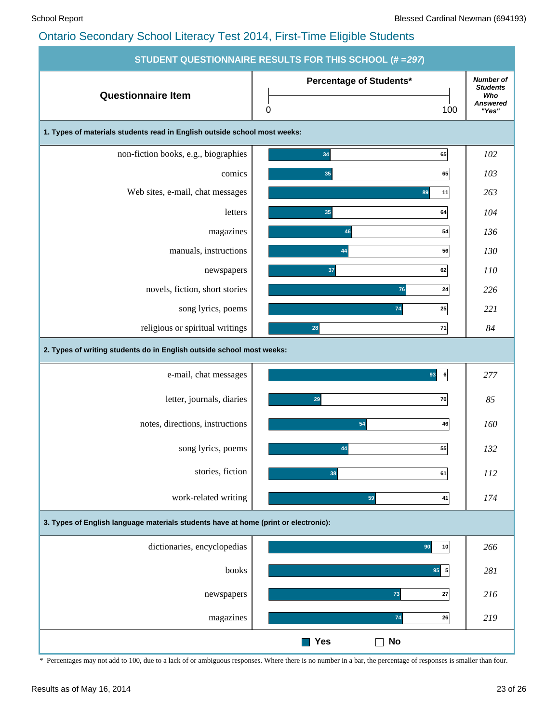|                                                                                     | STUDENT QUESTIONNAIRE RESULTS FOR THIS SCHOOL (# = 297) |                                                                        |
|-------------------------------------------------------------------------------------|---------------------------------------------------------|------------------------------------------------------------------------|
| <b>Questionnaire Item</b>                                                           | Percentage of Students*<br>0<br>100                     | <b>Number of</b><br><b>Students</b><br>Who<br><b>Answered</b><br>"Yes" |
| 1. Types of materials students read in English outside school most weeks:           |                                                         |                                                                        |
| non-fiction books, e.g., biographies                                                | 34<br>65                                                | 102                                                                    |
| comics                                                                              | 35<br>65                                                | 103                                                                    |
| Web sites, e-mail, chat messages                                                    | 11<br>89                                                | 263                                                                    |
| letters                                                                             | 35<br>64                                                | 104                                                                    |
| magazines                                                                           | 54<br>46                                                | 136                                                                    |
| manuals, instructions                                                               | 44<br>56                                                | 130                                                                    |
| newspapers                                                                          | 62<br>37                                                | 110                                                                    |
| novels, fiction, short stories                                                      | 76<br>24                                                | 226                                                                    |
| song lyrics, poems                                                                  | 74<br>25                                                | 221                                                                    |
| religious or spiritual writings                                                     | 71<br>28                                                | 84                                                                     |
| 2. Types of writing students do in English outside school most weeks:               |                                                         |                                                                        |
| e-mail, chat messages                                                               | 93<br>6                                                 | 277                                                                    |
| letter, journals, diaries                                                           | 29<br>70                                                | 85                                                                     |
| notes, directions, instructions                                                     | 54<br>46                                                | 160                                                                    |
| song lyrics, poems                                                                  | 55<br>44                                                | 132                                                                    |
| stories, fiction                                                                    | 38<br>61                                                | 112                                                                    |
| work-related writing                                                                | 59<br>41                                                | 174                                                                    |
| 3. Types of English language materials students have at home (print or electronic): |                                                         |                                                                        |
| dictionaries, encyclopedias                                                         | 90<br>10                                                | 266                                                                    |
| books                                                                               | $95$ 5                                                  | 281                                                                    |
| newspapers                                                                          | ${\bf 73}$<br>27                                        | 216                                                                    |
| magazines                                                                           | 74<br>26                                                | 219                                                                    |
|                                                                                     | <b>Yes</b><br><b>No</b><br>$\blacksquare$               |                                                                        |

\* Percentages may not add to 100, due to a lack of or ambiguous responses. Where there is no number in a bar, the percentage of responses is smaller than four.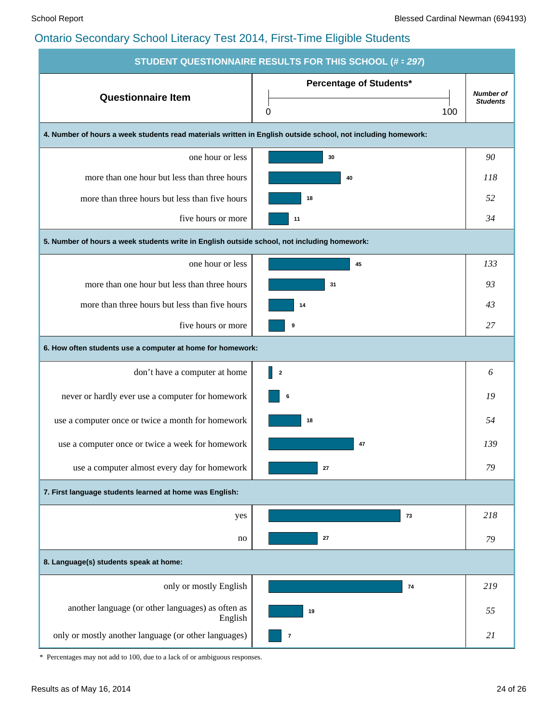| <b>STUDENT QUESTIONNAIRE RESULTS FOR THIS SCHOOL (# = 297)</b>                                               |                                            |                                     |  |  |  |  |  |  |  |  |
|--------------------------------------------------------------------------------------------------------------|--------------------------------------------|-------------------------------------|--|--|--|--|--|--|--|--|
| <b>Questionnaire Item</b>                                                                                    | <b>Percentage of Students*</b><br>100<br>0 | <b>Number of</b><br><b>Students</b> |  |  |  |  |  |  |  |  |
| 4. Number of hours a week students read materials written in English outside school, not including homework: |                                            |                                     |  |  |  |  |  |  |  |  |
| one hour or less                                                                                             | 30                                         | 90                                  |  |  |  |  |  |  |  |  |
| more than one hour but less than three hours                                                                 | 40                                         | 118                                 |  |  |  |  |  |  |  |  |
| more than three hours but less than five hours                                                               | 18                                         | 52                                  |  |  |  |  |  |  |  |  |
| five hours or more                                                                                           | 11                                         | 34                                  |  |  |  |  |  |  |  |  |
| 5. Number of hours a week students write in English outside school, not including homework:                  |                                            |                                     |  |  |  |  |  |  |  |  |
| one hour or less                                                                                             | 45                                         | 133                                 |  |  |  |  |  |  |  |  |
| more than one hour but less than three hours                                                                 | 31                                         | 93                                  |  |  |  |  |  |  |  |  |
| more than three hours but less than five hours                                                               | 14                                         | 43                                  |  |  |  |  |  |  |  |  |
| five hours or more                                                                                           | 9                                          | 27                                  |  |  |  |  |  |  |  |  |
| 6. How often students use a computer at home for homework:                                                   |                                            |                                     |  |  |  |  |  |  |  |  |
| don't have a computer at home                                                                                | $\parallel$ 2                              | 6                                   |  |  |  |  |  |  |  |  |
| never or hardly ever use a computer for homework                                                             | 6                                          | 19                                  |  |  |  |  |  |  |  |  |
| use a computer once or twice a month for homework                                                            | 18                                         | 54                                  |  |  |  |  |  |  |  |  |
| use a computer once or twice a week for homework                                                             | 47                                         | 139                                 |  |  |  |  |  |  |  |  |
| use a computer almost every day for homework                                                                 | $27\,$                                     | 79                                  |  |  |  |  |  |  |  |  |
| 7. First language students learned at home was English:                                                      |                                            |                                     |  |  |  |  |  |  |  |  |
| yes                                                                                                          | 73                                         | 218                                 |  |  |  |  |  |  |  |  |
| no                                                                                                           | 27                                         | 79                                  |  |  |  |  |  |  |  |  |
| 8. Language(s) students speak at home:                                                                       |                                            |                                     |  |  |  |  |  |  |  |  |
| only or mostly English                                                                                       | 74                                         | 219                                 |  |  |  |  |  |  |  |  |
| another language (or other languages) as often as<br>English                                                 | 19                                         | 55                                  |  |  |  |  |  |  |  |  |
| only or mostly another language (or other languages)                                                         | $\bf 7$                                    | 21                                  |  |  |  |  |  |  |  |  |

\* Percentages may not add to 100, due to a lack of or ambiguous responses.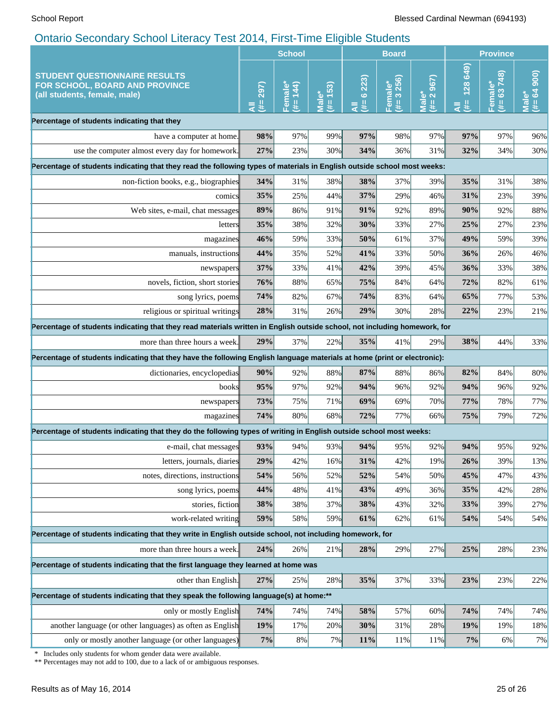|                                                                                                                                                 | <b>School</b>   |                     |                  | <b>Board</b>    |                                                |                                | <b>Province</b>              |                         |                                        |
|-------------------------------------------------------------------------------------------------------------------------------------------------|-----------------|---------------------|------------------|-----------------|------------------------------------------------|--------------------------------|------------------------------|-------------------------|----------------------------------------|
| <b>STUDENT QUESTIONNAIRE RESULTS</b><br>FOR SCHOOL, BOARD AND PROVINCE<br>(all students, female, male)                                          | 297)<br>u,<br>₹ | 144<br>Female<br>¥, | 153)<br>مٌ<br>u. | 6223)<br>₩<br>₹ | 3 256)<br>$\overline{\overline{a}}$<br>y.<br>ௐ | 967)<br>Male*<br>(#= 2 $\zeta$ | 649)<br><b>128</b><br>#<br>₹ | 63748)<br>Female*<br>y. | 900<br>$(# = 64)$<br>Male <sup>*</sup> |
| Percentage of students indicating that they                                                                                                     |                 |                     |                  |                 |                                                |                                |                              |                         |                                        |
| have a computer at home.                                                                                                                        | 98%             | 97%                 | 99%              | 97%             | 98%                                            | 97%                            | 97%                          | 97%                     | 96%                                    |
| use the computer almost every day for homework.                                                                                                 | 27%             | 23%                 | 30%              | 34%             | 36%                                            | 31%                            | 32%                          | 34%                     | 30%                                    |
| Percentage of students indicating that they read the following types of materials in English outside school most weeks:                         |                 |                     |                  |                 |                                                |                                |                              |                         |                                        |
| non-fiction books, e.g., biographies                                                                                                            | 34%             | 31%                 | 38%              | 38%             | 37%                                            | 39%                            | 35%                          | 31%                     | 38%                                    |
| comics                                                                                                                                          | 35%             | 25%                 | 44%              | 37%             | 29%                                            | 46%                            | 31%                          | 23%                     | 39%                                    |
| Web sites, e-mail, chat messages                                                                                                                | 89%             | 86%                 | 91%              | 91%             | 92%                                            | 89%                            | 90%                          | 92%                     | 88%                                    |
| letters                                                                                                                                         | 35%             | 38%                 | 32%              | 30%             | 33%                                            | 27%                            | 25%                          | 27%                     | 23%                                    |
| magazines                                                                                                                                       | 46%             | 59%                 | 33%              | 50%             | 61%                                            | 37%                            | 49%                          | 59%                     | 39%                                    |
| manuals, instructions                                                                                                                           | 44%             | 35%                 | 52%              | 41%             | 33%                                            | 50%                            | 36%                          | 26%                     | 46%                                    |
| newspapers                                                                                                                                      | 37%             | 33%                 | 41%              | 42%             | 39%                                            | 45%                            | 36%                          | 33%                     | 38%                                    |
| novels, fiction, short stories                                                                                                                  | 76%             | 88%                 | 65%              | 75%             | 84%                                            | 64%                            | 72%                          | 82%                     | 61%                                    |
| song lyrics, poems                                                                                                                              | 74%             | 82%                 | 67%              | 74%             | 83%                                            | 64%                            | 65%                          | 77%                     | 53%                                    |
| religious or spiritual writings                                                                                                                 | 28%             | 31%                 | 26%              | 29%             | 30%                                            | 28%                            | 22%                          | 23%                     | 21%                                    |
| Percentage of students indicating that they read materials written in English outside school, not including homework, for                       |                 |                     |                  |                 |                                                |                                |                              |                         |                                        |
| more than three hours a week.                                                                                                                   | 29%             | 37%                 | 22%              | 35%             | 41%                                            | 29%                            | 38%                          | 44%                     | 33%                                    |
| Percentage of students indicating that they have the following English language materials at home (print or electronic):                        |                 |                     |                  |                 |                                                |                                |                              |                         |                                        |
| dictionaries, encyclopedias                                                                                                                     | 90%             | 92%                 | 88%              | 87%             | 88%                                            | 86%                            | 82%                          | 84%                     | 80%                                    |
| books                                                                                                                                           | 95%             | 97%                 | 92%              | 94%             | 96%                                            | 92%                            | 94%                          | 96%                     | 92%                                    |
| newspapers                                                                                                                                      | 73%             | 75%                 | 71%              | 69%             | 69%                                            | 70%                            | 77%                          | 78%                     | 77%                                    |
| magazines                                                                                                                                       | 74%             | 80%                 | 68%              | 72%             | 77%                                            | 66%                            | 75%                          | 79%                     | 72%                                    |
| Percentage of students indicating that they do the following types of writing in English outside school most weeks:                             |                 |                     |                  |                 |                                                |                                |                              |                         |                                        |
| e-mail, chat messages                                                                                                                           | 93%             | 94%                 | 93%              | 94%             | 95%                                            | 92%                            | 94%                          | 95%                     | 92%                                    |
| letters, journals, diaries                                                                                                                      | 29%             | 42%                 | 16%              | 31%             | 42%                                            | 19%                            | 26%                          | 39%                     | 13%                                    |
| notes, directions, instructions                                                                                                                 | 54%             | 56%                 | 52%              | 52%             | 54%                                            | 50%                            | 45%                          | 47%                     | 43%                                    |
| song lyrics, poems                                                                                                                              | 44%             | 48%                 | 41%              | 43%             | 49%                                            | 36%                            | 35%                          | 42%                     | 28%                                    |
| stories, fiction                                                                                                                                | 38%             | 38%                 | 37%              | 38%             | 43%                                            | 32%                            | 33%                          | 39%                     | 27%                                    |
| work-related writing                                                                                                                            | 59%             | 58%                 | 59%              | 61%             | 62%                                            | 61%                            | 54%                          | 54%                     | 54%                                    |
| Percentage of students indicating that they write in English outside school, not including homework, for                                        |                 |                     |                  |                 |                                                |                                |                              |                         |                                        |
| more than three hours a week.                                                                                                                   | 24%             | 26%                 | 21%              | 28%             | 29%                                            | 27%                            | 25%                          | 28%                     | 23%                                    |
| Percentage of students indicating that the first language they learned at home was                                                              |                 |                     |                  |                 |                                                |                                |                              |                         |                                        |
| other than English.                                                                                                                             | 27%             | 25%                 | 28%              | 35%             | 37%                                            | 33%                            | 23%                          | 23%                     | 22%                                    |
| Percentage of students indicating that they speak the following language(s) at home:**                                                          |                 |                     |                  |                 |                                                |                                |                              |                         |                                        |
| only or mostly English                                                                                                                          | 74%             | 74%                 | 74%              | 58%             | 57%                                            | 60%                            | 74%                          | 74%                     | 74%                                    |
| another language (or other languages) as often as English                                                                                       | <b>19%</b>      | 17%                 | 20%              | 30%             | 31%                                            | 28%                            | 19%                          | 19%                     | 18%                                    |
| only or mostly another language (or other languages)                                                                                            | 7%              | 8%                  | 7%               | 11%             | 11%                                            | 11%                            | 7%                           | 6%                      | 7%                                     |
| Includes only students for whom gender data were available.<br>∗<br>** Percentages may not add to 100, due to a lack of or ambiguous responses. |                 |                     |                  |                 |                                                |                                |                              |                         |                                        |